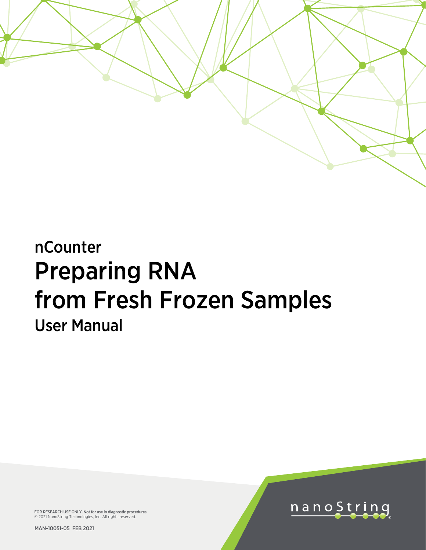

# nCounter Preparing RNA from Fresh Frozen Samples User Manual

FOR RESEARCH USE ONLY. Not for use in diagnostic procedures. © 2021 NanoString Technologies, Inc. All rights reserved.

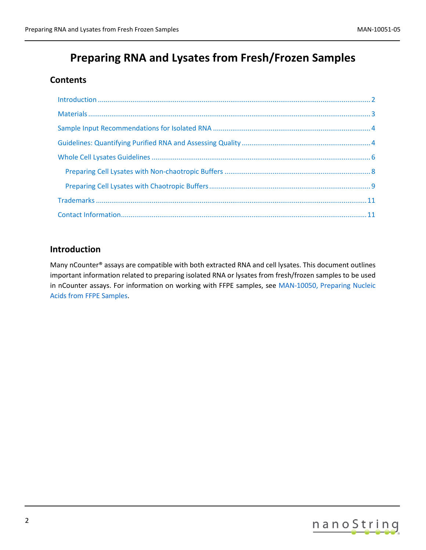# **Preparing RNA and Lysates from Fresh/Frozen Samples**

# **Contents**

# <span id="page-1-0"></span>**Introduction**

Many nCounter® assays are compatible with both extracted RNA and cell lysates. This document outlines important information related to preparing isolated RNA or lysates from fresh/frozen samples to be used in nCounter assays. For information on working with FFPE samples, see [MAN-10050, Preparing Nucleic](https://www.nanostring.com/download_file/view/867/3778)  [Acids from FFPE Samples.](https://www.nanostring.com/download_file/view/867/3778)

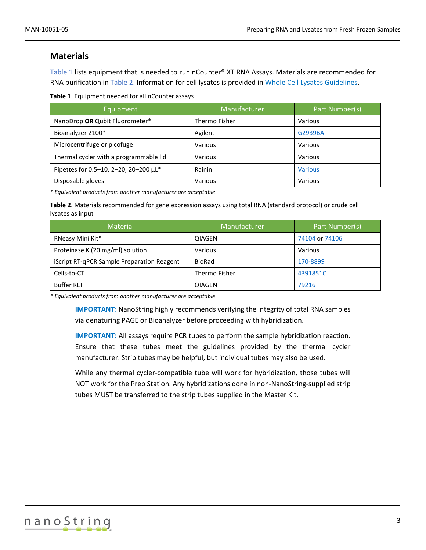# <span id="page-2-0"></span>**Materials**

[Table 1](#page-2-1) lists equipment that is needed to run nCounter® XT RNA Assays. Materials are recommended for RNA purification i[n Table 2.](#page-2-2) Information for cell lysates is provided in [Whole Cell Lysates Guidelines.](#page-5-0)

<span id="page-2-1"></span>**Table 1**. Equipment needed for all nCounter assays

| Equipment                              | Manufacturer  | Part Number(s) |
|----------------------------------------|---------------|----------------|
| NanoDrop OR Qubit Fluorometer*         | Thermo Fisher | Various        |
| Bioanalyzer 2100*                      | Agilent       | G2939BA        |
| Microcentrifuge or picofuge            | Various       | Various        |
| Thermal cycler with a programmable lid | Various       | Various        |
| Pipettes for 0.5-10, 2-20, 20-200 µL*  | Rainin        | <b>Various</b> |
| Disposable gloves                      | Various       | Various        |

*\* Equivalent products from another manufacturer are acceptable*

<span id="page-2-2"></span>**Table 2**. Materials recommended for gene expression assays using total RNA (standard protocol) or crude cell lysates as input

| <b>Material</b>                            | Manufacturer  | Part Number(s) |
|--------------------------------------------|---------------|----------------|
| RNeasy Mini Kit*                           | OIAGEN        | 74104 or 74106 |
| Proteinase K (20 mg/ml) solution           | Various       | Various        |
| iScript RT-qPCR Sample Preparation Reagent | BioRad        | 170-8899       |
| Cells-to-CT                                | Thermo Fisher | 4391851C       |
| <b>Buffer RLT</b>                          | <b>QIAGEN</b> | 79216          |

*\* Equivalent products from another manufacturer are acceptable*

**IMPORTANT:** NanoString highly recommends verifying the integrity of total RNA samples via denaturing PAGE or Bioanalyzer before proceeding with hybridization.

**IMPORTANT:** All assays require PCR tubes to perform the sample hybridization reaction. Ensure that these tubes meet the guidelines provided by the thermal cycler manufacturer. Strip tubes may be helpful, but individual tubes may also be used.

While any thermal cycler-compatible tube will work for hybridization, those tubes will NOT work for the Prep Station. Any hybridizations done in non-NanoString-supplied strip tubes MUST be transferred to the strip tubes supplied in the Master Kit.

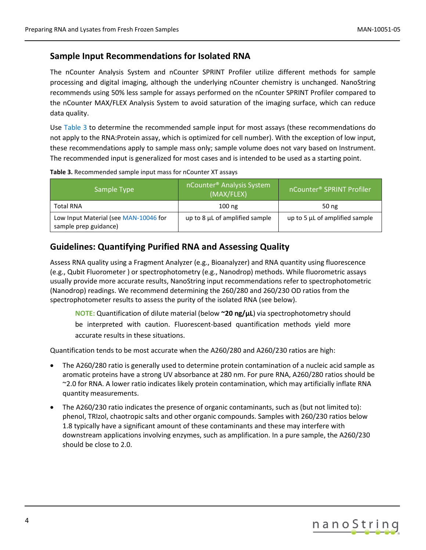# <span id="page-3-0"></span>**Sample Input Recommendations for Isolated RNA**

The nCounter Analysis System and nCounter SPRINT Profiler utilize different methods for sample processing and digital imaging, although the underlying nCounter chemistry is unchanged. NanoString recommends using 50% less sample for assays performed on the nCounter SPRINT Profiler compared to the nCounter MAX/FLEX Analysis System to avoid saturation of the imaging surface, which can reduce data quality.

Use [Table 3](#page-3-2) to determine the recommended sample input for most assays (these recommendations do not apply to the RNA:Protein assay, which is optimized for cell number). With the exception of low input, these recommendations apply to sample mass only; sample volume does not vary based on Instrument. The recommended input is generalized for most cases and is intended to be used as a starting point.

| Sample Type                                                    | nCounter <sup>®</sup> Analysis System<br>(MAX/FLEX) | nCounter <sup>®</sup> SPRINT Profiler |
|----------------------------------------------------------------|-----------------------------------------------------|---------------------------------------|
| <b>Total RNA</b>                                               | $100$ ng                                            | 50 ng                                 |
| Low Input Material (see MAN-10046 for<br>sample prep guidance) | up to 8 µL of amplified sample                      | up to 5 µL of amplified sample        |

#### <span id="page-3-2"></span>**Table 3.** Recommended sample input mass for nCounter XT assays

### <span id="page-3-1"></span>**Guidelines: Quantifying Purified RNA and Assessing Quality**

Assess RNA quality using a Fragment Analyzer (e.g., Bioanalyzer) and RNA quantity using fluorescence (e.g., Qubit Fluorometer ) or spectrophotometry (e.g., Nanodrop) methods. While fluorometric assays usually provide more accurate results, NanoString input recommendations refer to spectrophotometric (Nanodrop) readings. We recommend determining the 260/280 and 260/230 OD ratios from the spectrophotometer results to assess the purity of the isolated RNA (see below).

**NOTE:** Quantification of dilute material (below **~20 ng/μL**) via spectrophotometry should be interpreted with caution. Fluorescent-based quantification methods yield more accurate results in these situations.

Quantification tends to be most accurate when the A260/280 and A260/230 ratios are high:

- The A260/280 ratio is generally used to determine protein contamination of a nucleic acid sample as aromatic proteins have a strong UV absorbance at 280 nm. For pure RNA, A260/280 ratios should be ~2.0 for RNA. A lower ratio indicates likely protein contamination, which may artificially inflate RNA quantity measurements.
- The A260/230 ratio indicates the presence of organic contaminants, such as (but not limited to): phenol, TRIzol, chaotropic salts and other organic compounds. Samples with 260/230 ratios below 1.8 typically have a significant amount of these contaminants and these may interfere with downstream applications involving enzymes, such as amplification. In a pure sample, the A260/230 should be close to 2.0.

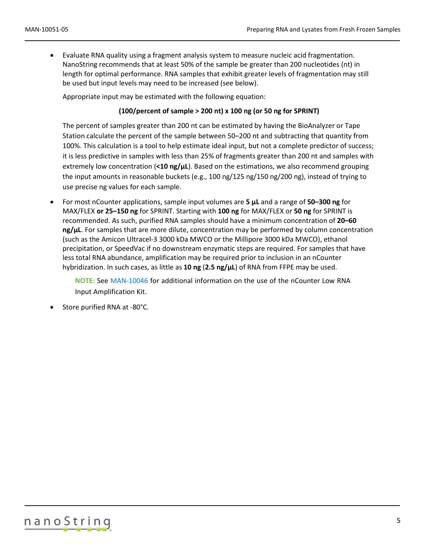• Evaluate RNA quality using a fragment analysis system to measure nucleic acid fragmentation. NanoString recommends that at least 50% of the sample be greater than 200 nucleotides (nt) in length for optimal performance. RNA samples that exhibit greater levels of fragmentation may still be used but input levels may need to be increased (see below).

Appropriate input may be estimated with the following equation:

#### **(100/percent of sample > 200 nt) x 100 ng (or 50 ng for SPRINT)**

The percent of samples greater than 200 nt can be estimated by having the BioAnalyzer or Tape Station calculate the percent of the sample between 50–200 nt and subtracting that quantity from 100%. This calculation is a tool to help estimate ideal input, but not a complete predictor of success; it is less predictive in samples with less than 25% of fragments greater than 200 nt and samples with extremely low concentration (**<10 ng/µL**). Based on the estimations, we also recommend grouping the input amounts in reasonable buckets (e.g., 100 ng/125 ng/150 ng/200 ng), instead of trying to use precise ng values for each sample.

• For most nCounter applications, sample input volumes are **5 µL** and a range of **50–300 ng** for MAX/FLEX **or 25–150 ng** for SPRINT. Starting with **100 ng** for MAX/FLEX or **50 ng** for SPRINT is recommended. As such, purified RNA samples should have a minimum concentration of **20–60 ng/µL**. For samples that are more dilute, concentration may be performed by column concentration (such as the Amicon Ultracel-3 3000 kDa MWCO or the Millipore 3000 kDa MWCO), ethanol precipitation, or SpeedVac if no downstream enzymatic steps are required. For samples that have less total RNA abundance, amplification may be required prior to inclusion in an nCounter hybridization. In such cases, as little as **10 ng** (**2.5 ng/µL**) of RNA from FFPE may be used.

**NOTE:** See [MAN-10046](https://www.nanostring.com/wp-content/uploads/2021/03/MAN-10046-04_Low_RNA_Input_Amplification_Kit_User_Manual-1.pdf) for additional information on the use of the nCounter Low RNA Input Amplification Kit.

Store purified RNA at -80°C.

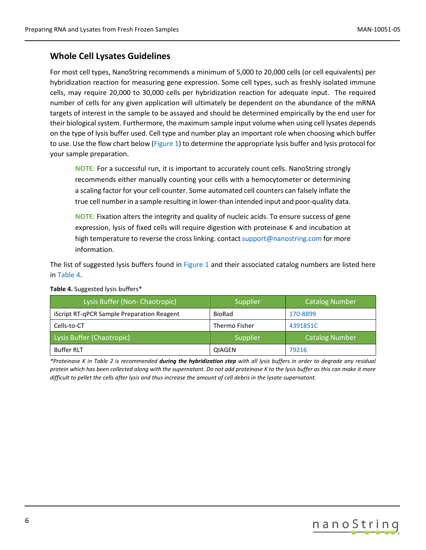# <span id="page-5-0"></span>**Whole Cell Lysates Guidelines**

For most cell types, NanoString recommends a minimum of 5,000 to 20,000 cells (or cell equivalents) per hybridization reaction for measuring gene expression. Some cell types, such as freshly isolated immune cells, may require 20,000 to 30,000 cells per hybridization reaction for adequate input. The required number of cells for any given application will ultimately be dependent on the abundance of the mRNA targets of interest in the sample to be assayed and should be determined empirically by the end user for their biological system. Furthermore, the maximum sample input volume when using cell lysates depends on the type of lysis buffer used. Cell type and number play an important role when choosing which buffer to use. Use the flow chart below (Figure 1) to determine the appropriate lysis buffer and lysis protocol for your sample preparation.

**NOTE:** For a successful run, it is important to accurately count cells. NanoString strongly recommends either manually counting your cells with a hemocytometer or determining a scaling factor for your cell counter. Some automated cell counters can falsely inflate the true cell number in a sample resulting in lower-than intended input and poor-quality data.

**NOTE:** Fixation alters the integrity and quality of nucleic acids. To ensure success of gene expression, lysis of fixed cells will require digestion with proteinase K and incubation at high temperature to reverse the cross linking. contact [support@nanostring.com](mailto:support@nanostring.com) for more information.

The list of suggested lysis buffers found in Figure 1 and their associated catalog numbers are listed here in [Table 4.](#page-5-1)

| Lysis Buffer (Non-Chaotropic)              | Supplier      | Catalog Number        |
|--------------------------------------------|---------------|-----------------------|
| iScript RT-qPCR Sample Preparation Reagent | BioRad        | 170-8899              |
| Cells-to-CT                                | Thermo Fisher | 4391851C              |
| Lysis Buffer (Chaotropic)                  | Supplier      | <b>Catalog Number</b> |
| <b>Buffer RLT</b>                          | QIAGEN        | 79216                 |

<span id="page-5-1"></span>**Table 4.** Suggested lysis buffers\*

*\*Proteinase K in Table 2 is recommended during the hybridization step with all lysis buffers in order to degrade any residual protein which has been collected along with the supernatant. Do not add proteinase K to the lysis buffer as this can make it more difficult to pellet the cells after lysis and thus increase the amount of cell debris in the lysate supernatant.*

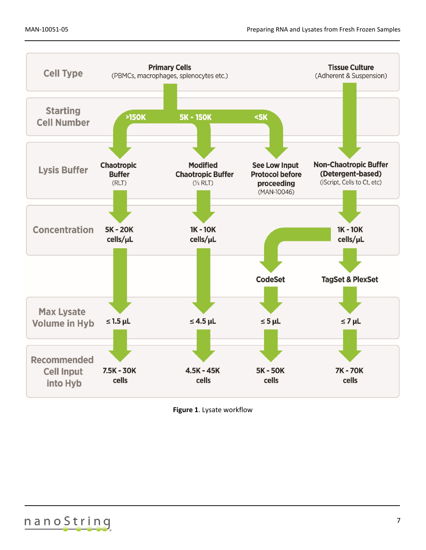

**Figure 1**. Lysate workflow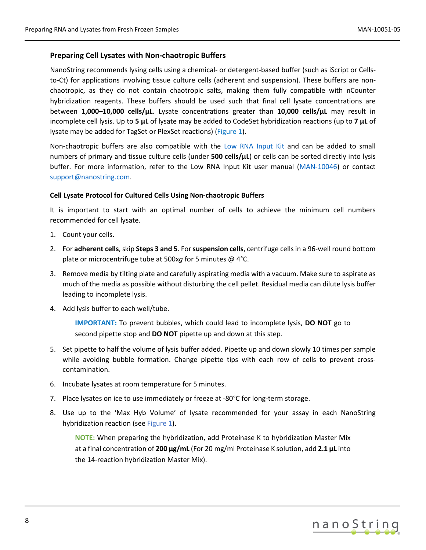#### <span id="page-7-0"></span>**Preparing Cell Lysates with Non-chaotropic Buffers**

NanoString recommends lysing cells using a chemical- or detergent-based buffer (such as iScript or Cellsto-Ct) for applications involving tissue culture cells (adherent and suspension). These buffers are nonchaotropic, as they do not contain chaotropic salts, making them fully compatible with nCounter hybridization reagents. These buffers should be used such that final cell lysate concentrations are between **1,000–10,000 cells/µL**. Lysate concentrations greater than **10,000 cells/µL** may result in incomplete cell lysis. Up to **5 µL** of lysate may be added to CodeSet hybridization reactions (up to **7 µL** of lysate may be added for TagSet or PlexSet reactions) (Figure 1).

Non-chaotropic buffers are also compatible with the Low [RNA Input Kit](https://www.nanostring.com/products/sample-prep-and-ncounter-consumables/ncounter-low-rna-input-kit) and can be added to small numbers of primary and tissue culture cells (under **500 cells/µL**) or cells can be sorted directly into lysis buffer. For more information, refer to the Low RNA Input Kit user manual [\(MAN-10046\)](https://www.nanostring.com/wp-content/uploads/2021/03/MAN-10046-04_Low_RNA_Input_Amplification_Kit_User_Manual-1.pdf) or contact [support@nanostring.com.](mailto:support@nanostring.com)

#### **Cell Lysate Protocol for Cultured Cells Using Non-chaotropic Buffers**

It is important to start with an optimal number of cells to achieve the minimum cell numbers recommended for cell lysate.

- 1. Count your cells.
- 2. For **adherent cells**, skip **Steps 3 and 5**. For **suspension cells**, centrifuge cells in a 96-well round bottom plate or microcentrifuge tube at 500x*g* for 5 minutes @ 4°C.
- 3. Remove media by tilting plate and carefully aspirating media with a vacuum. Make sure to aspirate as much of the media as possible without disturbing the cell pellet. Residual media can dilute lysis buffer leading to incomplete lysis.
- 4. Add lysis buffer to each well/tube.

**IMPORTANT:** To prevent bubbles, which could lead to incomplete lysis, **DO NOT** go to second pipette stop and **DO NOT** pipette up and down at this step.

- 5. Set pipette to half the volume of lysis buffer added. Pipette up and down slowly 10 times per sample while avoiding bubble formation. Change pipette tips with each row of cells to prevent crosscontamination.
- 6. Incubate lysates at room temperature for 5 minutes.
- 7. Place lysates on ice to use immediately or freeze at -80°C for long-term storage.
- 8. Use up to the 'Max Hyb Volume' of lysate recommended for your assay in each NanoString hybridization reaction (see Figure 1).

**NOTE:** When preparing the hybridization, add Proteinase K to hybridization Master Mix at a final concentration of **200 µg/mL** (For 20 mg/ml Proteinase K solution, add **2.1 µL** into the 14-reaction hybridization Master Mix).

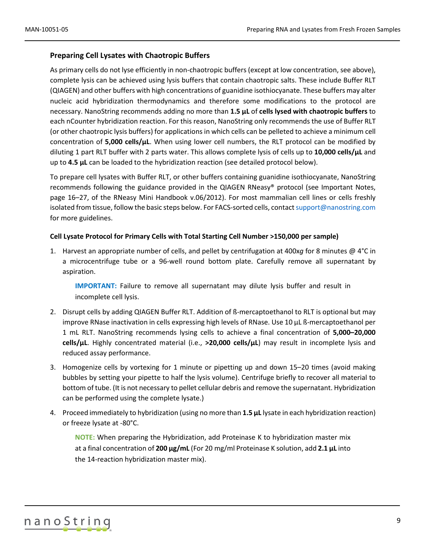#### <span id="page-8-0"></span>**Preparing Cell Lysates with Chaotropic Buffers**

As primary cells do not lyse efficiently in non-chaotropic buffers (except at low concentration, see above), complete lysis can be achieved using lysis buffers that contain chaotropic salts. These include Buffer RLT (QIAGEN) and other buffers with high concentrations of guanidine isothiocyanate. These buffers may alter nucleic acid hybridization thermodynamics and therefore some modifications to the protocol are necessary. NanoString recommends adding no more than **1.5 µL** of **cells lysed with chaotropic buffers** to each nCounter hybridization reaction. For this reason, NanoString only recommends the use of Buffer RLT (or other chaotropic lysis buffers) for applications in which cells can be pelleted to achieve a minimum cell concentration of **5,000 cells/µL**. When using lower cell numbers, the RLT protocol can be modified by diluting 1 part RLT buffer with 2 parts water. This allows complete lysis of cells up to **10,000 cells/µL** and up to **4.5 µL** can be loaded to the hybridization reaction (see detailed protocol below).

To prepare cell lysates with Buffer RLT, or other buffers containing guanidine isothiocyanate, NanoString recommends following the guidance provided in the QIAGEN RNeasy® protocol (see Important Notes, page 16–27, of the RNeasy Mini Handbook v.06/2012). For most mammalian cell lines or cells freshly isolated from tissue, follow the basic steps below. For FACS-sorted cells, contac[t support@nanostring.com](mailto:support@nanostring.com) for more guidelines.

#### **Cell Lysate Protocol for Primary Cells with Total Starting Cell Number >150,000 per sample)**

1. Harvest an appropriate number of cells, and pellet by centrifugation at 400x*g* for 8 minutes @ 4°C in a microcentrifuge tube or a 96-well round bottom plate. Carefully remove all supernatant by aspiration.

**IMPORTANT:** Failure to remove all supernatant may dilute lysis buffer and result in incomplete cell lysis.

- 2. Disrupt cells by adding QIAGEN Buffer RLT. Addition of ß-mercaptoethanol to RLT is optional but may improve RNase inactivation in cells expressing high levels of RNase. Use 10 µL ß-mercaptoethanol per 1 mL RLT. NanoString recommends lysing cells to achieve a final concentration of **5,000–20,000 cells/µL**. Highly concentrated material (i.e., **>20,000 cells/µL**) may result in incomplete lysis and reduced assay performance.
- 3. Homogenize cells by vortexing for 1 minute or pipetting up and down 15–20 times (avoid making bubbles by setting your pipette to half the lysis volume). Centrifuge briefly to recover all material to bottom of tube. (It is not necessary to pellet cellular debris and remove the supernatant. Hybridization can be performed using the complete lysate.)
- 4. Proceed immediately to hybridization (using no more than **1.5 µL** lysate in each hybridization reaction) or freeze lysate at -80°C.

**NOTE:** When preparing the Hybridization, add Proteinase K to hybridization master mix at a final concentration of **200 µg/mL** (For 20 mg/ml Proteinase K solution, add **2.1 µL** into the 14-reaction hybridization master mix).

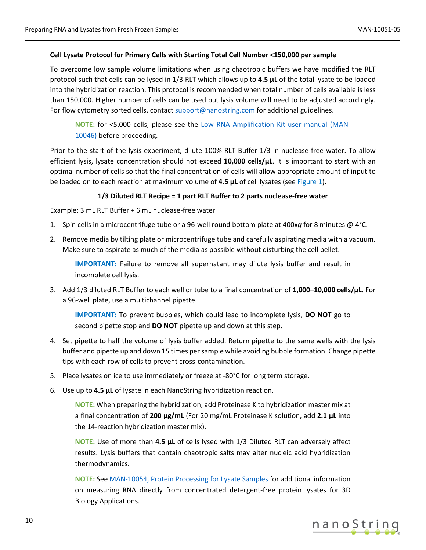#### **Cell Lysate Protocol for Primary Cells with Starting Total Cell Number <150,000 per sample)**

To overcome low sample volume limitations when using chaotropic buffers we have modified the RLT protocol such that cells can be lysed in 1/3 RLT which allows up to **4.5 µL** of the total lysate to be loaded into the hybridization reaction. This protocol is recommended when total number of cells available is less than 150,000. Higher number of cells can be used but lysis volume will need to be adjusted accordingly. For flow cytometry sorted cells, contac[t support@nanostring.com](mailto:support@nanostring.com) for additional guidelines.

**NOTE:** for <5,000 cells, please see the [Low RNA Amplification Kit](https://www.nanostring.com/download_file/view/732/3778) user manual (MAN-[10046\)](https://www.nanostring.com/download_file/view/732/3778) before proceeding.

Prior to the start of the lysis experiment, dilute 100% RLT Buffer 1/3 in nuclease-free water. To allow efficient lysis, lysate concentration should not exceed **10,000 cells/µL**. It is important to start with an optimal number of cells so that the final concentration of cells will allow appropriate amount of input to be loaded on to each reaction at maximum volume of **4.5 µL** of cell lysates (see Figure 1).

#### **1/3 Diluted RLT Recipe = 1 part RLT Buffer to 2 parts nuclease-free water**

Example: 3 mL RLT Buffer + 6 mL nuclease-free water

- 1. Spin cells in a microcentrifuge tube or a 96-well round bottom plate at 400x*g* for 8 minutes @ 4°C.
- 2. Remove media by tilting plate or microcentrifuge tube and carefully aspirating media with a vacuum. Make sure to aspirate as much of the media as possible without disturbing the cell pellet.

**IMPORTANT:** Failure to remove all supernatant may dilute lysis buffer and result in incomplete cell lysis.

3. Add 1/3 diluted RLT Buffer to each well or tube to a final concentration of **1,000–10,000 cells/µL**. For a 96-well plate, use a multichannel pipette.

**IMPORTANT:** To prevent bubbles, which could lead to incomplete lysis, **DO NOT** go to second pipette stop and **DO NOT** pipette up and down at this step.

- 4. Set pipette to half the volume of lysis buffer added. Return pipette to the same wells with the lysis buffer and pipette up and down 15 times per sample while avoiding bubble formation. Change pipette tips with each row of cells to prevent cross-contamination.
- 5. Place lysates on ice to use immediately or freeze at -80°C for long term storage.
- 6. Use up to **4.5 µL** of lysate in each NanoString hybridization reaction.

**NOTE:** When preparing the hybridization, add Proteinase K to hybridization master mix at a final concentration of **200 µg/mL** (For 20 mg/mL Proteinase K solution, add **2.1 µL** into the 14-reaction hybridization master mix).

**NOTE:** Use of more than **4.5 µL** of cells lysed with 1/3 Diluted RLT can adversely affect results. Lysis buffers that contain chaotropic salts may alter nucleic acid hybridization thermodynamics.

**NOTE:** Se[e MAN-10054, Protein Processing for Lysate Samples](https://www.nanostring.com/download_file/view/865/3778) for additional information on measuring RNA directly from concentrated detergent-free protein lysates for 3D Biology Applications.